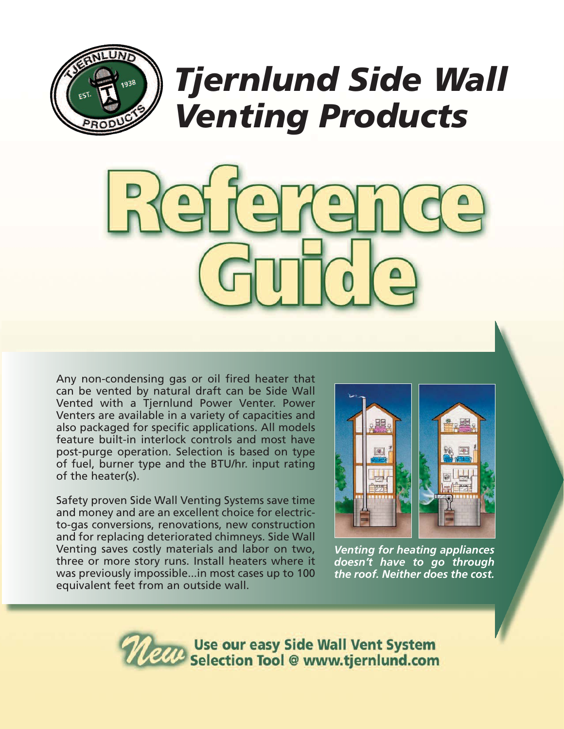



Any non-condensing gas or oil fired heater that can be vented by natural draft can be Side Wall Vented with a Tjernlund Power Venter. Power Venters are available in a variety of capacities and also packaged for specific applications. All models feature built-in interlock controls and most have post-purge operation. Selection is based on type of fuel, burner type and the BTU/hr. input rating of the heater(s).

Safety proven Side Wall Venting Systems save time and money and are an excellent choice for electricto-gas conversions, renovations, new construction and for replacing deteriorated chimneys. Side Wall Venting saves costly materials and labor on two, three or more story runs. Install heaters where it was previously impossible...in most cases up to 100 equivalent feet from an outside wall.



*Venting for heating appliances doesn't have to go through the roof. Neither does the cost.*

Use our easy Side Wall Vent System<br>Selection Tool @ www.tjernlund.com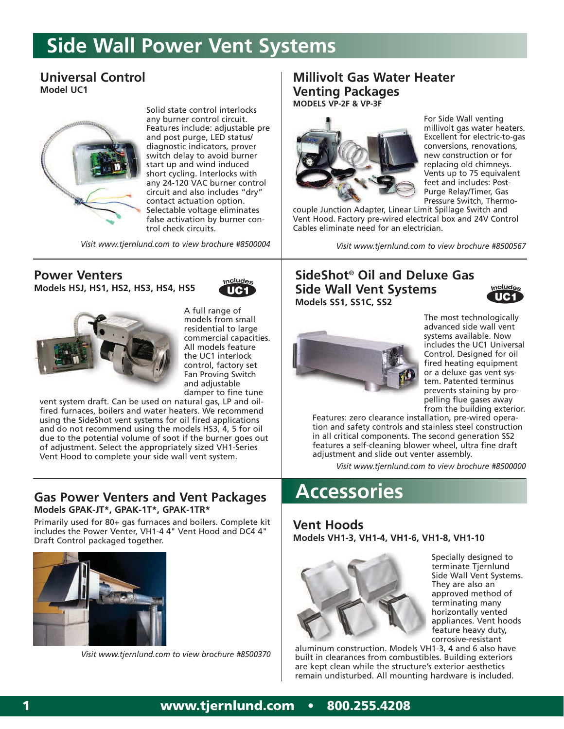# **Side Wall Power Vent Systems**

### **Universal Control Model UC1**



Solid state control interlocks any burner control circuit. Features include: adjustable pre and post purge, LED status/ diagnostic indicators, prover switch delay to avoid burner start up and wind induced short cycling. Interlocks with any 24-120 VAC burner control circuit and also includes "dry" contact actuation option. Selectable voltage eliminates false activation by burner control check circuits.

*Visit www.tjernlund.com to view brochure #8500004 Visit www.tjernlund.com to view brochure #8500567*

#### **Power Venters Models HSJ, HS1, HS2, HS3, HS4, HS5**





A full range of models from small residential to large commercial capacities. All models feature the UC1 interlock control, factory set Fan Proving Switch and adjustable damper to fine tune

vent system draft. Can be used on natural gas, LP and oilfired furnaces, boilers and water heaters. We recommend using the SideShot vent systems for oil fired applications and do not recommend using the models HS3, 4, 5 for oil due to the potential volume of soot if the burner goes out of adjustment. Select the appropriately sized VH1-Series Vent Hood to complete your side wall vent system.

#### **Gas Power Venters and Vent Packages Models GPAK-JT\*, GPAK-1T\*, GPAK-1TR\***

Primarily used for 80+ gas furnaces and boilers. Complete kit includes the Power Venter, VH1-4 4" Vent Hood and DC4 4" Draft Control packaged together.



*Visit www.tjernlund.com to view brochure #8500370*

#### **Millivolt Gas Water Heater Venting Packages MODELS VP-2F & VP-3F**



For Side Wall venting millivolt gas water heaters. Excellent for electric-to-gas conversions, renovations, new construction or for replacing old chimneys. Vents up to 75 equivalent feet and includes: Post-Purge Relay/Timer, Gas Pressure Switch, Thermo-

couple Junction Adapter, Linear Limit Spillage Switch and Vent Hood. Factory pre-wired electrical box and 24V Control Cables eliminate need for an electrician.

### **SideShot® Oil and Deluxe Gas Side Wall Vent Systems Models SS1, SS1C, SS2**





The most technologically advanced side wall vent systems available. Now includes the UC1 Universal Control. Designed for oil fired heating equipment or a deluxe gas vent system. Patented terminus prevents staining by propelling flue gases away from the building exterior.

Features: zero clearance installation, pre-wired operation and safety controls and stainless steel construction in all critical components. The second generation SS2 features a self-cleaning blower wheel, ultra fine draft adjustment and slide out venter assembly.

*Visit www.tjernlund.com to view brochure #8500000*

## **Accessories**

#### **Vent Hoods Models VH1-3, VH1-4, VH1-6, VH1-8, VH1-10**



Specially designed to terminate Tjernlund Side Wall Vent Systems. They are also an approved method of terminating many horizontally vented appliances. Vent hoods feature heavy duty, corrosive-resistant

aluminum construction. Models VH1-3, 4 and 6 also have built in clearances from combustibles. Building exteriors are kept clean while the structure's exterior aesthetics remain undisturbed. All mounting hardware is included.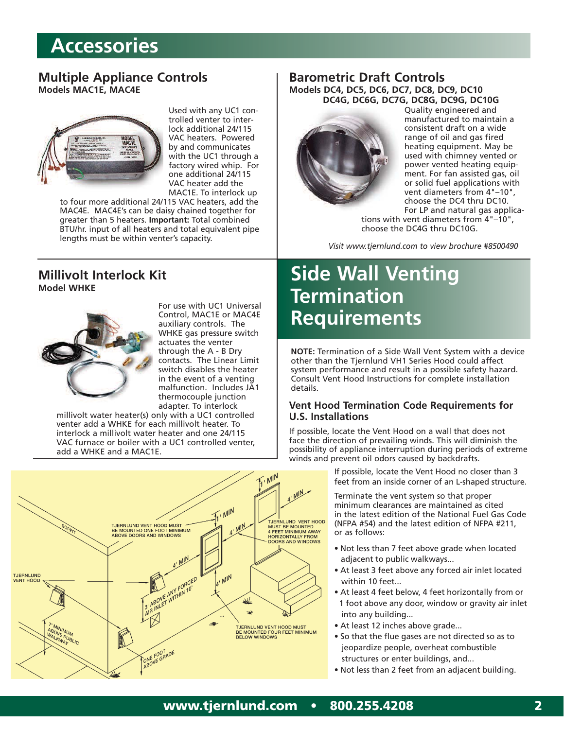# **Accessories**

#### **Multiple Appliance Controls Models MAC1E, MAC4E**



Used with any UC1 controlled venter to interlock additional 24/115 VAC heaters. Powered by and communicates with the UC1 through a factory wired whip. For one additional 24/115 VAC heater add the MAC1E. To interlock up

to four more additional 24/115 VAC heaters, add the MAC4E. MAC4E's can be daisy chained together for greater than 5 heaters. **Important:** Total combined BTU/hr. input of all heaters and total equivalent pipe lengths must be within venter's capacity.

#### **Millivolt Interlock Kit Model WHKE**



For use with UC1 Universal Control, MAC1E or MAC4E auxiliary controls. The WHKE gas pressure switch actuates the venter through the A - B Dry contacts. The Linear Limit switch disables the heater in the event of a venting malfunction. Includes JA1 thermocouple junction adapter. To interlock

millivolt water heater(s) only with a UC1 controlled venter add a WHKE for each millivolt heater. To interlock a millivolt water heater and one 24/115 VAC furnace or boiler with a UC1 controlled venter, add a WHKE and a MAC1E.



#### **Barometric Draft Controls Models DC4, DC5, DC6, DC7, DC8, DC9, DC10 DC4G, DC6G, DC7G, DC8G, DC9G, DC10G**



Quality engineered and manufactured to maintain a consistent draft on a wide range of oil and gas fired heating equipment. May be used with chimney vented or power vented heating equipment. For fan assisted gas, oil or solid fuel applications with vent diameters from 4"–10", choose the DC4 thru DC10. For LP and natural gas applica-

tions with vent diameters from 4"–10", choose the DC4G thru DC10G.

*Visit www.tjernlund.com to view brochure #8500490*

# **Side Wall Venting Termination Requirements**

**NOTE:** Termination of a Side Wall Vent System with a device other than the Tjernlund VH1 Series Hood could affect system performance and result in a possible safety hazard. Consult Vent Hood Instructions for complete installation details.

#### **Vent Hood Termination Code Requirements for U.S. Installations**

If possible, locate the Vent Hood on a wall that does not face the direction of prevailing winds. This will diminish the possibility of appliance interruption during periods of extreme winds and prevent oil odors caused by backdrafts.

> If possible, locate the Vent Hood no closer than 3 feet from an inside corner of an L-shaped structure.

Terminate the vent system so that proper minimum clearances are maintained as cited in the latest edition of the National Fuel Gas Code (NFPA #54) and the latest edition of NFPA #211, or as follows:

- Not less than 7 feet above grade when located adjacent to public walkways...
- At least 3 feet above any forced air inlet located within 10 feet...
- At least 4 feet below, 4 feet horizontally from or 1 foot above any door, window or gravity air inlet into any building...
- At least 12 inches above grade...
- So that the flue gases are not directed so as to jeopardize people, overheat combustible structures or enter buildings, and...
- Not less than 2 feet from an adjacent building.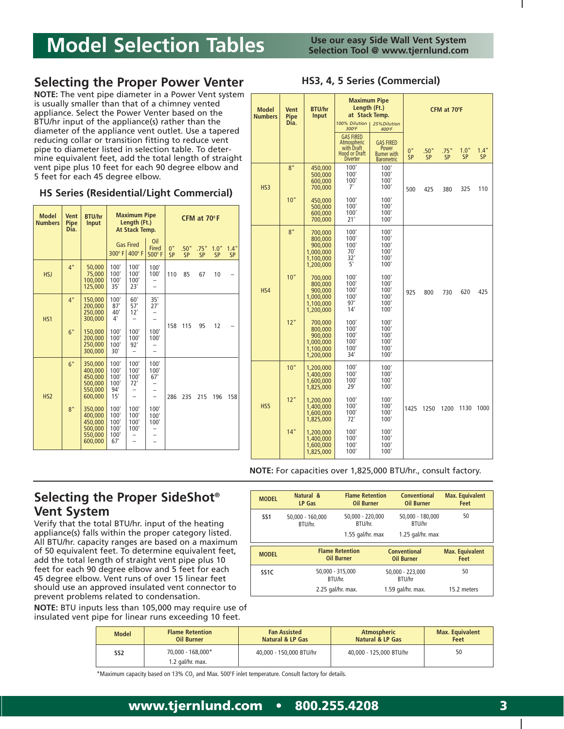# **Model Selection Tables**

### **Selecting the Proper Power Venter**

**NOTE:** The vent pipe diameter in a Power Vent system is usually smaller than that of a chimney vented appliance. Select the Power Venter based on the BTU/hr input of the appliance(s) rather than the diameter of the appliance vent outlet. Use a tapered reducing collar or transition fitting to reduce vent pipe to diameter listed in selection table. To determine equivalent feet, add the total length of straight vent pipe plus 10 feet for each 90 degree elbow and 5 feet for each 45 degree elbow.

#### **HS Series (Residential/Light Commercial)**

| <b>Model</b><br><b>Numbers</b> | <b>Vent</b><br><b>Pipe</b><br>Dia. | <b>BTU/hr</b><br>Input                                                                                                           | <b>Maximum Pipe</b><br>Length (Ft.)<br>At Stack Temp.                                     |                                                             | CFM at $70^{\circ}$ F                                  |                 |                   |                   |                   |                   |
|--------------------------------|------------------------------------|----------------------------------------------------------------------------------------------------------------------------------|-------------------------------------------------------------------------------------------|-------------------------------------------------------------|--------------------------------------------------------|-----------------|-------------------|-------------------|-------------------|-------------------|
|                                |                                    |                                                                                                                                  |                                                                                           | <b>Gas Fired</b><br>300° F 400° F                           | Oil<br><b>Fired</b><br>500° F                          | 0"<br><b>SP</b> | .50"<br><b>SP</b> | .75"<br><b>SP</b> | 1.0"<br><b>SP</b> | 1.4"<br><b>SP</b> |
| <b>HSJ</b>                     | 4"                                 | 50,000<br>75,000<br>100,000<br>125.000                                                                                           | 100'<br>100'<br>100'<br>35'                                                               | 100'<br>100'<br>100'<br>23'                                 | 100'<br>100'                                           | 110             | 85                | 67                | 10                |                   |
| H <sub>S1</sub>                | 4"<br>6"                           | 150,000<br>200,000<br>250,000<br>300,000<br>150,000<br>200,000<br>250,000<br>300,000                                             | 100'<br>87'<br>40'<br>$4^{\circ}$<br>100'<br>100'<br>100'<br>30'                          | 60'<br>57'<br>12'<br>100'<br>100'<br>92'                    | 35'<br>27'<br>-<br>100'<br>100'                        | 158             | 115               | 95                | 12                |                   |
| HS <sub>2</sub>                | 6"<br>8"                           | 350,000<br>400.000<br>450.000<br>500,000<br>550.000<br>600.000<br>350,000<br>400.000<br>450,000<br>500,000<br>550.000<br>600,000 | 100'<br>100'<br>100'<br>100'<br>94'<br>15'<br>100'<br>100'<br>100'<br>100'<br>100'<br>67' | 100'<br>100'<br>100'<br>72'<br>100'<br>100'<br>100'<br>100' | 100'<br>100'<br>67'<br>L.<br>100'<br>100'<br>100'<br>- | 286             | 235               | 215               | 196               | 158               |

| <b>Model</b><br><b>Vent</b><br><b>Numbers</b><br><b>Pipe</b><br>Dia. |     | <b>BTU/hr</b><br>Input                                               | <b>Maximum Pipe</b><br>Length (Ft.)<br>at Stack Temp.<br>100% Dilution I<br>25% Dilution<br>300°F<br>400°F |                                                                      |          | CFM at 70°F |            |                   |                   |
|----------------------------------------------------------------------|-----|----------------------------------------------------------------------|------------------------------------------------------------------------------------------------------------|----------------------------------------------------------------------|----------|-------------|------------|-------------------|-------------------|
|                                                                      |     |                                                                      | <b>GAS FIRED</b><br>Atmospheric<br>with Draft<br><b>Hood or Draft</b><br><b>Diverter</b>                   | <b>GAS FIRED</b><br>Power<br><b>Burner</b> with<br><b>Barometric</b> | 0"<br>SP | .50"<br>SP  | .75"<br>SP | 1.0"<br><b>SP</b> | 1.4"<br><b>SP</b> |
| HS <sub>3</sub>                                                      | 8"  | 450,000<br>500,000<br>600,000<br>700,000                             | 100'<br>100'<br>100'<br>7'                                                                                 | 100'<br>100'<br>100'<br>100'                                         | 500      | 425         | 380        | 325               | 110               |
|                                                                      | 10" | 450,000<br>500.000<br>600,000<br>700,000                             | 100'<br>100'<br>100'<br>21'                                                                                | 100'<br>100'<br>100'<br>100'                                         |          |             |            |                   |                   |
|                                                                      | 8"  | 700,000<br>800,000<br>900.000<br>1.000.000<br>1,100,000<br>1,200,000 | 100'<br>100'<br>100'<br>70'<br>32'<br>5'                                                                   | 100'<br>100'<br>100'<br>100'<br>100'<br>100'                         |          |             |            |                   |                   |
| HS4                                                                  | 10" | 700,000<br>800.000<br>900,000<br>1,000,000<br>1,100,000<br>1,200,000 | 100'<br>100'<br>100'<br>100'<br>97'<br>14'                                                                 | 100'<br>100'<br>100'<br>100'<br>100'<br>100'                         | 925      | 800         | 730        | 620               | 425               |
|                                                                      | 12" | 700.000<br>800,000<br>900,000<br>1.000.000<br>1,100,000<br>1,200,000 | 100'<br>100'<br>100'<br>100'<br>100'<br>34'                                                                | 100'<br>100'<br>100'<br>100'<br>100'<br>100'                         |          |             |            |                   |                   |
|                                                                      | 10" | 1,200,000<br>1,400,000<br>1.600.000<br>1,825,000                     | 100'<br>100'<br>100'<br>29'                                                                                | 100'<br>100'<br>100'<br>100'                                         |          |             |            |                   |                   |
| HS5                                                                  | 12" | 1,200,000<br>1,400,000<br>1,600,000<br>1,825,000                     | 100'<br>100'<br>100'<br>72'                                                                                | 100'<br>100'<br>100'<br>100'                                         | 1425     | 1250        | 1200       | 1130              | 1000              |
|                                                                      | 14" | 1,200,000<br>1,400,000<br>1.600.000<br>1,825,000                     | 100'<br>100'<br>100'<br>100'                                                                               | 100'<br>100'<br>100'<br>100'                                         |          |             |            |                   |                   |

**NOTE:** For capacities over 1,825,000 BTU/hr., consult factory.

### **Selecting the Proper SideShot® Vent System**

Verify that the total BTU/hr. input of the heating appliance(s) falls within the proper category listed. All BTU/hr. capacity ranges are based on a maximum of 50 equivalent feet. To determine equivalent feet, add the total length of straight vent pipe plus 10 feet for each 90 degree elbow and 5 feet for each 45 degree elbow. Vent runs of over 15 linear feet should use an approved insulated vent connector to prevent problems related to condensation.

**NOTE:** BTU inputs less than 105,000 may require use of insulated vent pipe for linear runs exceeding 10 feet.

| <b>MODEL</b>     | Natural &<br>LP Gas         | <b>Flame Retention</b><br><b>Oil Burner</b>       | Conventional<br><b>Oil Burner</b>                 | <b>Max. Equivalent</b><br>Feet |
|------------------|-----------------------------|---------------------------------------------------|---------------------------------------------------|--------------------------------|
| SS <sub>1</sub>  | 50.000 - 160.000<br>BTU/hr. | 50,000 - 220,000<br>BTU/hr.<br>$1.55$ gal/hr. max | 50.000 - 180.000<br>BTU/hr<br>1.25 $qal/hr$ . max | 50                             |
|                  |                             |                                                   |                                                   |                                |
| <b>MODEL</b>     |                             | <b>Flame Retention</b><br><b>Oil Burner</b>       | <b>Conventional</b><br><b>Oil Burner</b>          | <b>Max. Equivalent</b><br>Feet |
| SS <sub>1C</sub> | 50,000 - 315,000<br>BTU/hr. |                                                   | 50.000 - 223.000<br>BTU/hr                        | 50                             |

| <b>Flame Retention</b><br><b>Model</b><br><b>Oil Burner</b> |                                         | <b>Fan Assisted</b><br>Natural & LP Gas | <b>Atmospheric</b><br>Natural & LP Gas | <b>Max. Equivalent</b><br>Feet |  |
|-------------------------------------------------------------|-----------------------------------------|-----------------------------------------|----------------------------------------|--------------------------------|--|
| SS <sub>2</sub>                                             | $70.000 - 168.000*$<br>1.2 gal/hr. max. | 40,000 - 150,000 BTU/hr                 | 40.000 - 125.000 BTU/hr                | 50                             |  |

 $*$ Maximum capacity based on 13% CO<sub>2</sub> and Max. 500°F inlet temperature. Consult factory for details.

# **HS3, 4, 5 Series (Commercial)**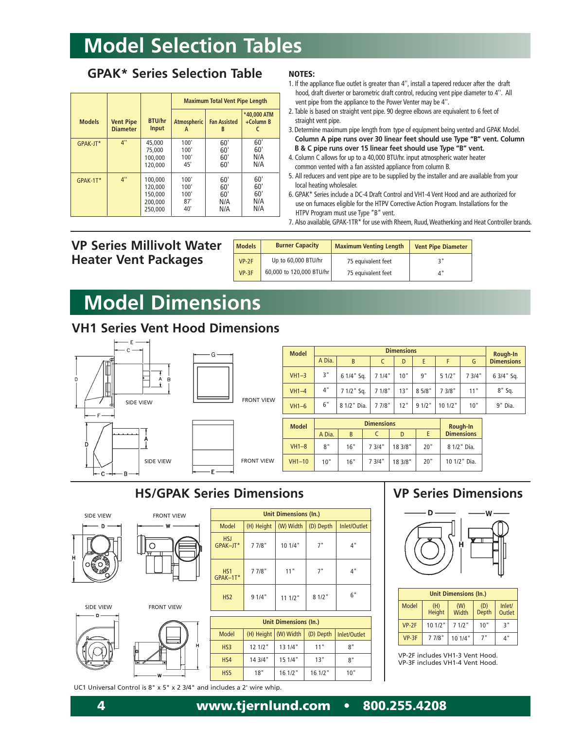# **Model Selection Tables**

### **GPAK\* Series Selection Table**

|                |                                     |                                                     | <b>Maximum Total Vent Pipe Length</b> |                                 |                                 |
|----------------|-------------------------------------|-----------------------------------------------------|---------------------------------------|---------------------------------|---------------------------------|
| <b>Models</b>  | <b>Vent Pipe</b><br><b>Diameter</b> | <b>BTU/hr</b><br>Input                              | Atmospheric<br>A                      | <b>Fan Assisted</b><br>B        | *40,000 ATM<br>+Column B        |
| GPAK-JT*       | 4"                                  | 45.000<br>75,000<br>100,000<br>120,000              | 100'<br>100'<br>100'<br>45'           | 60'<br>60'<br>60'<br>60'        | 60'<br>60'<br>N/A<br>N/A        |
| 4"<br>GPAK-1T* |                                     | 100.000<br>120.000<br>150.000<br>200.000<br>250,000 | 100'<br>100'<br>100'<br>87'<br>40'    | 60'<br>60'<br>60'<br>N/A<br>N/A | 60'<br>60'<br>60'<br>N/A<br>N/A |

#### **NOTES:**

- 1. If the appliance flue outlet is greater than 4'', install a tapered reducer after the draft hood, draft diverter or barometric draft control, reducing vent pipe diameter to 4''. All vent pipe from the appliance to the Power Venter may be 4''.
- 2. Table is based on straight vent pipe. 90 degree elbows are equivalent to 6 feet of straight vent pipe.
- 3. Determine maximum pipe length from type of equipment being vented and GPAK Model. **Column A pipe runs over 30 linear feet should use Type "B" vent. Column B & C pipe runs over 15 linear feet should use Type "B" vent.**
- 4. Column C allows for up to a 40,000 BTU/hr. input atmospheric water heater common vented with a fan assisted appliance from column B.
- 5. All reducers and vent pipe are to be supplied by the installer and are available from your local heating wholesaler.
- 6. GPAK\* Series include a DC-4 Draft Control and VH1-4 Vent Hood and are authorized for use on furnaces eligible for the HTPV Corrective Action Program. Installations for the HTPV Program must use Type "B" vent.
- 7. Also available, GPAK-1TR\* for use with Rheem, Ruud,Weatherking and Heat Controller brands.

|  |  |                             | <b>VP Series Millivolt Water</b> |
|--|--|-----------------------------|----------------------------------|
|  |  | <b>Heater Vent Packages</b> |                                  |

| <b>Models</b> | <b>Burner Capacity</b>   | <b>Maximum Venting Length</b> | <b>Vent Pipe Diameter</b> |
|---------------|--------------------------|-------------------------------|---------------------------|
| $VP-2F$       | Up to 60,000 BTU/hr      | 75 equivalent feet            | יי כ                      |
| $VP-3F$       | 60,000 to 120,000 BTU/hr | 75 equivalent feet            | Δ"                        |

# **Model Dimensions**

### **VH1 Series Vent Hood Dimensions**





| <b>Model</b> |        | <b>Dimensions</b> |        |     |          |         |        |                               |  |
|--------------|--------|-------------------|--------|-----|----------|---------|--------|-------------------------------|--|
|              | A Dia. | B                 |        | D   | E        |         | G      | Rough-In<br><b>Dimensions</b> |  |
| $VH1-3$      | 3"     | 6 1/4" Sq.        | 71/4"  | 10" | g"       | 51/2"   | 7 3/4" | 6 3/4" Sq.                    |  |
| $VH1-4$      | 4"     | 7 1/2" Sq.        | 71/8"  | 13" | 8 5/8"   | 7 3/8"  | 11"    | $8"$ Sq.                      |  |
| $VH1-6$      | 6"     | 8 1/2" Dia.       | 7 7/8" | 12" | $91/2$ " | 10 1/2" | 10"    | 9" Dia.                       |  |

| <b>Model</b> |        | <b>Dimensions</b> |        |         |     |                               |  |
|--------------|--------|-------------------|--------|---------|-----|-------------------------------|--|
|              | A Dia. | B                 |        | D       |     | Rough-In<br><b>Dimensions</b> |  |
| $VH1-8$      | 8"     | 16"               | 7 3/4" | 18 3/8" | 20" | 8 1/2" Dia.                   |  |
| $VH1-10$     | 10"    | 16"               | 7 3/4" | 18 3/8" | 20" | 10 1/2" Dia.                  |  |

### **HS/GPAK Series Dimensions**

SIDE VIEW FRONT VIEW



# SIDE VIEW FRONT VIEW



|                                                        |              | Unit Dimensions (In.) |           |           |              |  |  |  |  |  |
|--------------------------------------------------------|--------------|-----------------------|-----------|-----------|--------------|--|--|--|--|--|
|                                                        | <b>Model</b> | (H) Height            | (W) Width | (D) Depth | Inlet/Outlet |  |  |  |  |  |
| <b>HSJ</b><br>GPAK-JT*                                 |              | 7 7/8"                | 10 1/4"   | 7"        | 4"           |  |  |  |  |  |
| 7 7/8"<br>HS1<br>GPAK-1T*<br>9 1/4"<br>H <sub>S2</sub> |              | 11"                   | 7"        | 4"        |              |  |  |  |  |  |
|                                                        |              |                       | 11 1/2"   | $81/2$ "  | 6"           |  |  |  |  |  |

#### **Unit Dimensions (In.)** Model HS3 HS4 HS5 (H) Height 12 1/2" 14 3/4" 18" (W) Width 13 1/4" 15 1/4" 16 1/2" (D) Depth 11" 13" 16 1/2" Inlet/Outlet 8" 8" 10"

### **VP Series Dimensions**



| <b>Unit Dimensions (In.)</b> |                      |                     |              |                  |  |  |
|------------------------------|----------------------|---------------------|--------------|------------------|--|--|
| <b>Model</b>                 | (H)<br><b>Height</b> | (W)<br><b>Width</b> | (D)<br>Depth | Inlet/<br>Outlet |  |  |
| $VP-2F$                      | $101/2$ "            | 71/2"               | 10"          | 3"               |  |  |
| $VP-3F$                      | 7 7/8"               | 10 1/4"             | 7"           | 4"               |  |  |

VP-2F includes VH1-3 Vent Hood. VP-3F includes VH1-4 Vent Hood.

UC1 Universal Control is 8" x 5" x 2 3/4" and includes a 2' wire whip.